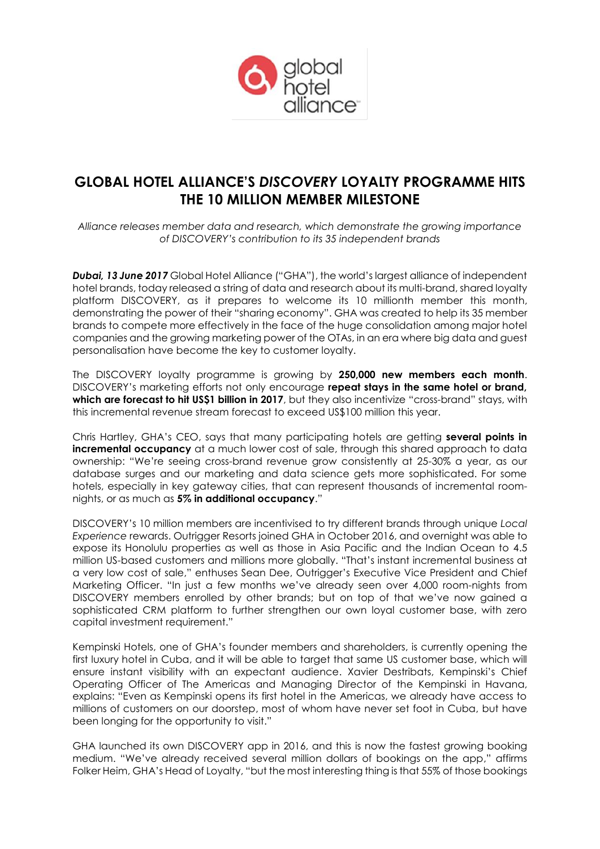

# **GLOBAL HOTEL ALLIANCE'S** *DISCOVERY* **LOYALTY PROGRAMME HITS THE 10 MILLION MEMBER MILESTONE**

*Alliance releases member data and research, which demonstrate the growing importance of DISCOVERY's contribution to its 35 independent brands*

*Dubai, 13 June 2017* Global Hotel Alliance ("GHA"), the world's largest alliance of independent hotel brands, today released a string of data and research about its multi-brand, shared loyalty platform DISCOVERY, as it prepares to welcome its 10 millionth member this month, demonstrating the power of their "sharing economy". GHA was created to help its 35 member brands to compete more effectively in the face of the huge consolidation among major hotel companies and the growing marketing power of the OTAs, in an era where big data and guest personalisation have become the key to customer loyalty.

The DISCOVERY loyalty programme is growing by **250,000 new members each month**. DISCOVERY's marketing efforts not only encourage **repeat stays in the same hotel or brand, which are forecast to hit US\$1 billion in 2017**, but they also incentivize "cross-brand" stays, with this incremental revenue stream forecast to exceed US\$100 million this year.

Chris Hartley, GHA's CEO, says that many participating hotels are getting **several points in incremental occupancy** at a much lower cost of sale, through this shared approach to data ownership: "We're seeing cross-brand revenue grow consistently at 25-30% a year, as our database surges and our marketing and data science gets more sophisticated. For some hotels, especially in key gateway cities, that can represent thousands of incremental roomnights, or as much as **5% in additional occupancy**."

DISCOVERY's 10 million members are incentivised to try different brands through unique *Local Experience* rewards. Outrigger Resorts joined GHA in October 2016, and overnight was able to expose its Honolulu properties as well as those in Asia Pacific and the Indian Ocean to 4.5 million US-based customers and millions more globally. "That's instant incremental business at a very low cost of sale," enthuses Sean Dee, Outrigger's Executive Vice President and Chief Marketing Officer. "In just a few months we've already seen over 4,000 room-nights from DISCOVERY members enrolled by other brands; but on top of that we've now gained a sophisticated CRM platform to further strengthen our own loyal customer base, with zero capital investment requirement."

Kempinski Hotels, one of GHA's founder members and shareholders, is currently opening the first luxury hotel in Cuba, and it will be able to target that same US customer base, which will ensure instant visibility with an expectant audience. Xavier Destribats, Kempinski's Chief Operating Officer of The Americas and Managing Director of the Kempinski in Havana, explains: "Even as Kempinski opens its first hotel in the Americas, we already have access to millions of customers on our doorstep, most of whom have never set foot in Cuba, but have been longing for the opportunity to visit."

GHA launched its own DISCOVERY app in 2016, and this is now the fastest growing booking medium. "We've already received several million dollars of bookings on the app," affirms Folker Heim, GHA's Head of Loyalty, "but the most interesting thing is that 55% of those bookings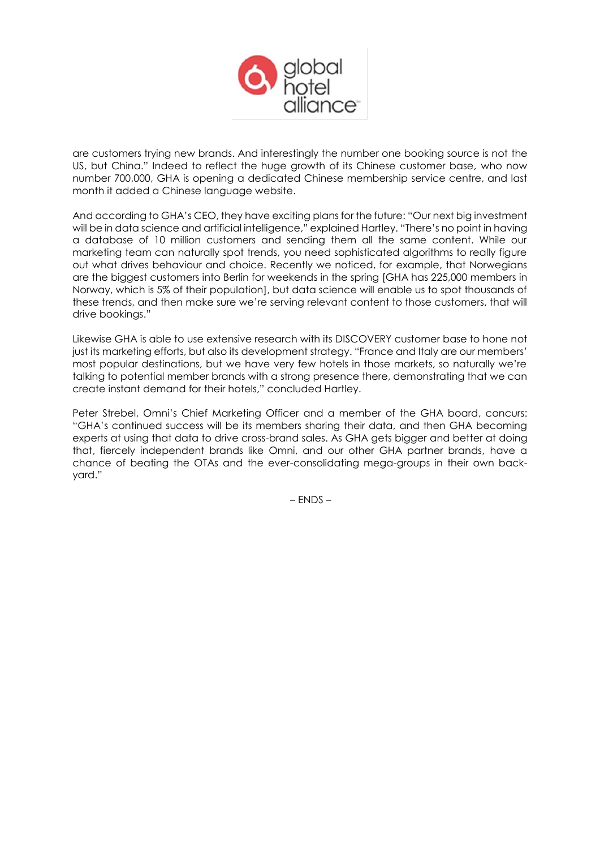

are customers trying new brands. And interestingly the number one booking source is not the US, but China." Indeed to reflect the huge growth of its Chinese customer base, who now number 700,000, GHA is opening a dedicated Chinese membership service centre, and last month it added a Chinese language website.

And according to GHA's CEO, they have exciting plans for the future: "Our next big investment will be in data science and artificial intelligence," explained Hartley. "There's no point in having a database of 10 million customers and sending them all the same content. While our marketing team can naturally spot trends, you need sophisticated algorithms to really figure out what drives behaviour and choice. Recently we noticed, for example, that Norwegians are the biggest customers into Berlin for weekends in the spring [GHA has 225,000 members in Norway, which is 5% of their population], but data science will enable us to spot thousands of these trends, and then make sure we're serving relevant content to those customers, that will drive bookings."

Likewise GHA is able to use extensive research with its DISCOVERY customer base to hone not just its marketing efforts, but also its development strategy. "France and Italy are our members' most popular destinations, but we have very few hotels in those markets, so naturally we're talking to potential member brands with a strong presence there, demonstrating that we can create instant demand for their hotels," concluded Hartley.

Peter Strebel, Omni's Chief Marketing Officer and a member of the GHA board, concurs: "GHA's continued success will be its members sharing their data, and then GHA becoming experts at using that data to drive cross-brand sales. As GHA gets bigger and better at doing that, fiercely independent brands like Omni, and our other GHA partner brands, have a chance of beating the OTAs and the ever-consolidating mega-groups in their own backyard."

– ENDS –